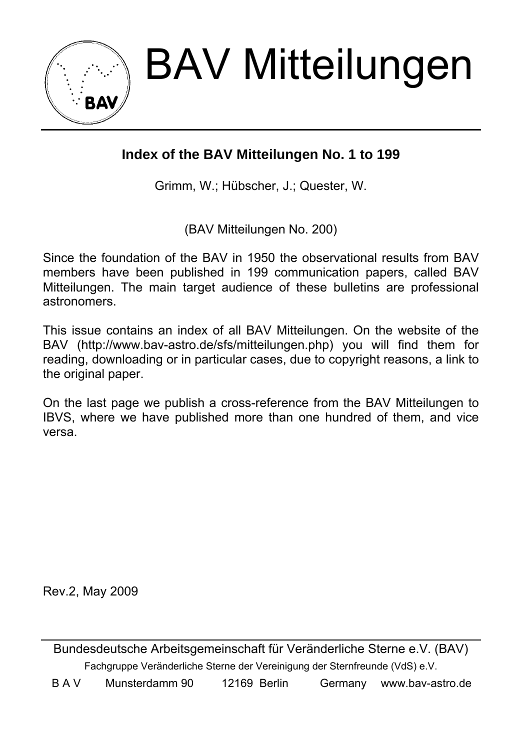BAV Mitteilungen

## **Index of the BAV Mitteilungen No. 1 to 199**

Grimm, W.; Hübscher, J.; Quester, W.

(BAV Mitteilungen No. 200)

Since the foundation of the BAV in 1950 the observational results from BAV members have been published in 199 communication papers, called BAV Mitteilungen. The main target audience of these bulletins are professional astronomers.

This issue contains an index of all BAV Mitteilungen. On the website of the BAV (http://www.bav-astro.de/sfs/mitteilungen.php) you will find them for reading, downloading or in particular cases, due to copyright reasons, a link to the original paper.

On the last page we publish a cross-reference from the BAV Mitteilungen to IBVS, where we have published more than one hundred of them, and vice versa.

Rev.2, May 2009

Bundesdeutsche Arbeitsgemeinschaft für Veränderliche Sterne e.V. (BAV) Fachgruppe Veränderliche Sterne der Vereinigung der Sternfreunde (VdS) e.V.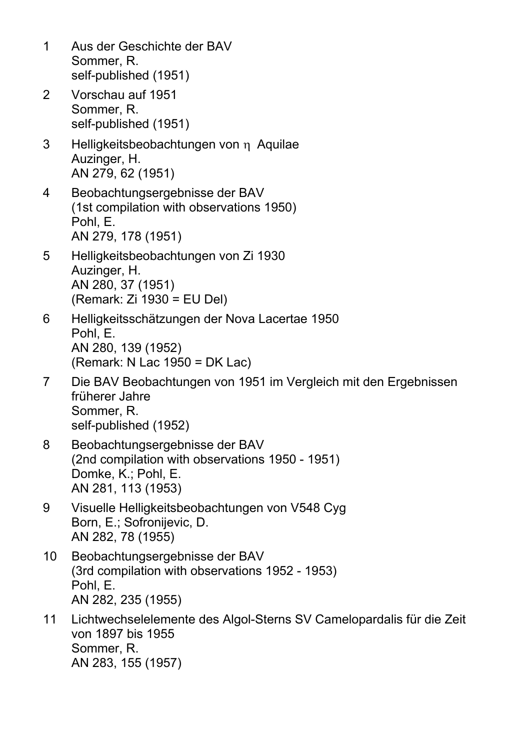| 1  | Aus der Geschichte der BAV<br>Sommer, R.<br>self-published (1951)                                                              |
|----|--------------------------------------------------------------------------------------------------------------------------------|
| 2  | Vorschau auf 1951<br>Sommer, R.<br>self-published (1951)                                                                       |
| 3  | Helligkeitsbeobachtungen von n Aquilae<br>Auzinger, H.<br>AN 279, 62 (1951)                                                    |
| 4  | Beobachtungsergebnisse der BAV<br>(1st compilation with observations 1950)<br>Pohl, E.<br>AN 279, 178 (1951)                   |
| 5  | Helligkeitsbeobachtungen von Zi 1930<br>Auzinger, H.<br>AN 280, 37 (1951)<br>(Remark: Zi 1930 = EU Del)                        |
| 6  | Helligkeitsschätzungen der Nova Lacertae 1950<br>Pohl, E.<br>AN 280, 139 (1952)<br>(Remark: N Lac 1950 = DK Lac)               |
| 7  | Die BAV Beobachtungen von 1951 im Vergleich mit den Ergebnissen<br>früherer Jahre<br>Sommer, R.<br>self-published (1952)       |
| 8  | Beobachtungsergebnisse der BAV<br>(2nd compilation with observations 1950 - 1951)<br>Domke, K.; Pohl, E.<br>AN 281, 113 (1953) |
| 9  | Visuelle Helligkeitsbeobachtungen von V548 Cyg<br>Born, E.; Sofronijevic, D.<br>AN 282, 78 (1955)                              |
| 10 | Beobachtungsergebnisse der BAV<br>(3rd compilation with observations 1952 - 1953)<br>Pohl, E.<br>AN 282, 235 (1955)            |
| 11 | Lichtwechselelemente des Algol-Sterns SV Camelopardalis für die Zeit<br>von 1897 bis 1955<br>Sommer, R.<br>AN 283, 155 (1957)  |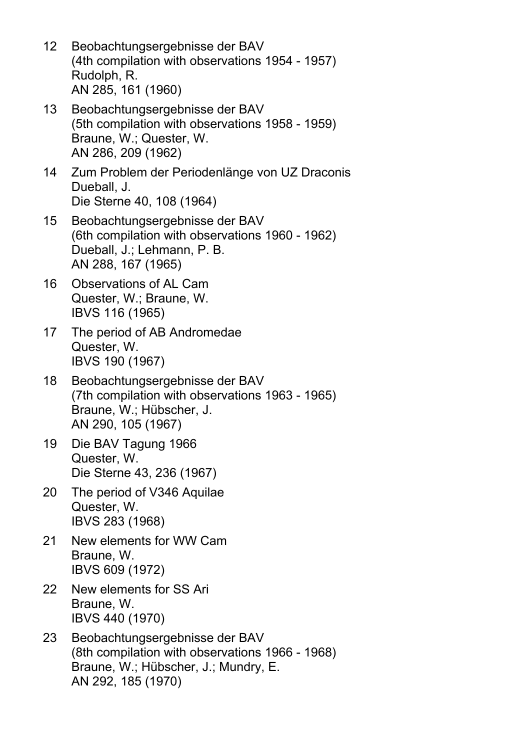- 12 Beobachtungsergebnisse der BAV (4th compilation with observations 1954 - 1957) Rudolph, R. AN 285, 161 (1960)
- 13 Beobachtungsergebnisse der BAV (5th compilation with observations 1958 - 1959) Braune, W.; Quester, W. AN 286, 209 (1962)
- 14 Zum Problem der Periodenlänge von UZ Draconis Dueball, J. Die Sterne 40, 108 (1964)
- 15 Beobachtungsergebnisse der BAV (6th compilation with observations 1960 - 1962) Dueball, J.; Lehmann, P. B. AN 288, 167 (1965)
- 16 Observations of AL Cam Quester, W.; Braune, W. IBVS 116 (1965)
- 17 The period of AB Andromedae Quester, W. IBVS 190 (1967)
- 18 Beobachtungsergebnisse der BAV (7th compilation with observations 1963 - 1965) Braune, W.; Hübscher, J. AN 290, 105 (1967)
- 19 Die BAV Tagung 1966 Quester, W. Die Sterne 43, 236 (1967)
- 20 The period of V346 Aquilae Quester, W. IBVS 283 (1968)
- 21 New elements for WW Cam Braune, W. IBVS 609 (1972)
- 22 New elements for SS Ari Braune, W. IBVS 440 (1970)
- 23 Beobachtungsergebnisse der BAV (8th compilation with observations 1966 - 1968) Braune, W.; Hübscher, J.; Mundry, E. AN 292, 185 (1970)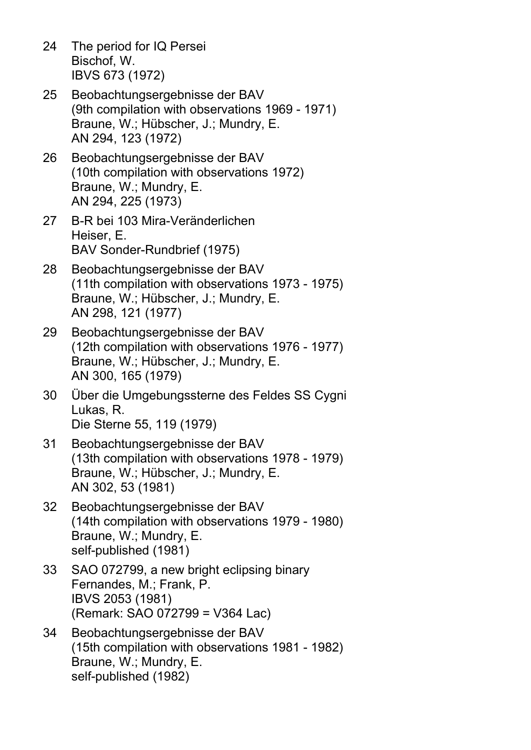- 24 The period for IQ Persei Bischof, W. IBVS 673 (1972)
- 25 Beobachtungsergebnisse der BAV (9th compilation with observations 1969 - 1971) Braune, W.; Hübscher, J.; Mundry, E. AN 294, 123 (1972)
- 26 Beobachtungsergebnisse der BAV (10th compilation with observations 1972) Braune, W.; Mundry, E. AN 294, 225 (1973)
- 27 B-R bei 103 Mira-Veränderlichen Heiser, E. BAV Sonder-Rundbrief (1975)
- 28 Beobachtungsergebnisse der BAV (11th compilation with observations 1973 - 1975) Braune, W.; Hübscher, J.; Mundry, E. AN 298, 121 (1977)
- 29 Beobachtungsergebnisse der BAV (12th compilation with observations 1976 - 1977) Braune, W.; Hübscher, J.; Mundry, E. AN 300, 165 (1979)
- 30 Über die Umgebungssterne des Feldes SS Cygni Lukas, R. Die Sterne 55, 119 (1979)
- 31 Beobachtungsergebnisse der BAV (13th compilation with observations 1978 - 1979) Braune, W.; Hübscher, J.; Mundry, E. AN 302, 53 (1981)
- 32 Beobachtungsergebnisse der BAV (14th compilation with observations 1979 - 1980) Braune, W.; Mundry, E. self-published (1981)
- 33 SAO 072799, a new bright eclipsing binary Fernandes, M.; Frank, P. IBVS 2053 (1981) (Remark: SAO 072799 = V364 Lac)
- 34 Beobachtungsergebnisse der BAV (15th compilation with observations 1981 - 1982) Braune, W.; Mundry, E. self-published (1982)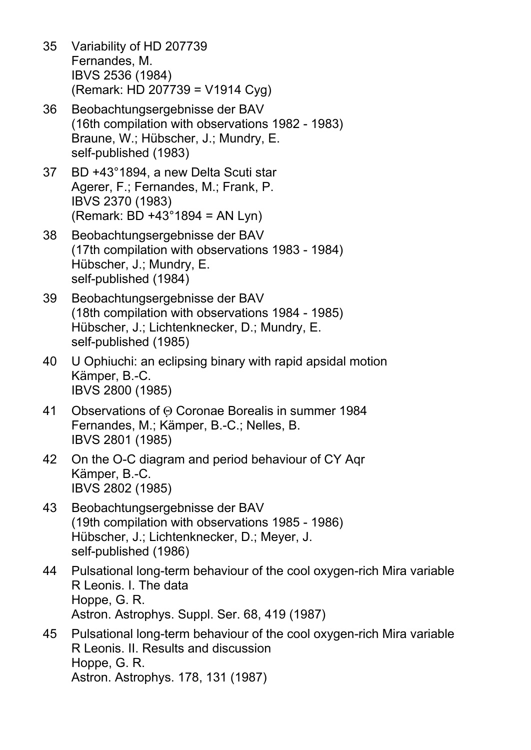- 35 Variability of HD 207739 Fernandes, M. IBVS 2536 (1984) (Remark: HD 207739 = V1914 Cyg)
- 36 Beobachtungsergebnisse der BAV (16th compilation with observations 1982 - 1983) Braune, W.; Hübscher, J.; Mundry, E. self-published (1983)
- 37 BD +43°1894, a new Delta Scuti star Agerer, F.; Fernandes, M.; Frank, P. IBVS 2370 (1983) (Remark: BD +43°1894 = AN Lyn)
- 38 Beobachtungsergebnisse der BAV (17th compilation with observations 1983 - 1984) Hübscher, J.; Mundry, E. self-published (1984)
- 39 Beobachtungsergebnisse der BAV (18th compilation with observations 1984 - 1985) Hübscher, J.; Lichtenknecker, D.; Mundry, E. self-published (1985)
- 40 U Ophiuchi: an eclipsing binary with rapid apsidal motion Kämper, B.-C. IBVS 2800 (1985)
- 41 Observations of Θ Coronae Borealis in summer 1984 Fernandes, M.; Kämper, B.-C.; Nelles, B. IBVS 2801 (1985)
- 42 On the O-C diagram and period behaviour of CY Aqr Kämper, B.-C. IBVS 2802 (1985)
- 43 Beobachtungsergebnisse der BAV (19th compilation with observations 1985 - 1986) Hübscher, J.; Lichtenknecker, D.; Meyer, J. self-published (1986)
- 44 Pulsational long-term behaviour of the cool oxygen-rich Mira variable R Leonis. I. The data Hoppe, G. R. Astron. Astrophys. Suppl. Ser. 68, 419 (1987)
- 45 Pulsational long-term behaviour of the cool oxygen-rich Mira variable R Leonis. II. Results and discussion Hoppe, G. R. Astron. Astrophys. 178, 131 (1987)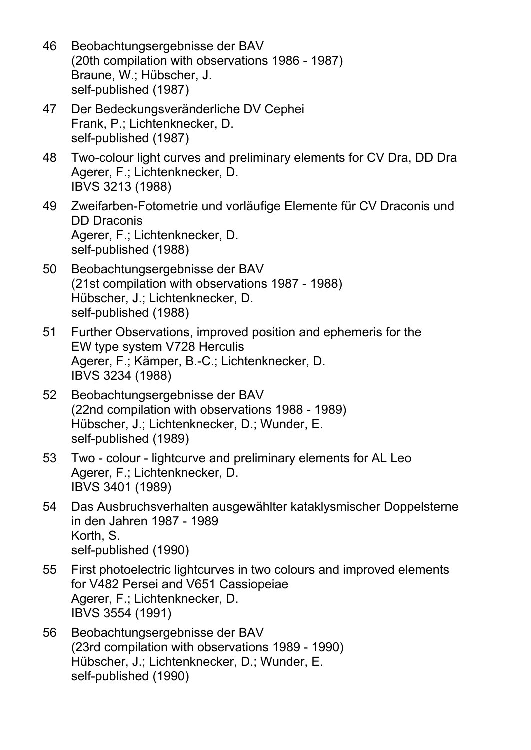- 46 Beobachtungsergebnisse der BAV (20th compilation with observations 1986 - 1987) Braune, W.; Hübscher, J. self-published (1987)
- 47 Der Bedeckungsveränderliche DV Cephei Frank, P.; Lichtenknecker, D. self-published (1987)
- 48 Two-colour light curves and preliminary elements for CV Dra, DD Dra Agerer, F.; Lichtenknecker, D. IBVS 3213 (1988)
- 49 Zweifarben-Fotometrie und vorläufige Elemente für CV Draconis und DD Draconis Agerer, F.; Lichtenknecker, D. self-published (1988)
- 50 Beobachtungsergebnisse der BAV (21st compilation with observations 1987 - 1988) Hübscher, J.; Lichtenknecker, D. self-published (1988)
- 51 Further Observations, improved position and ephemeris for the EW type system V728 Herculis Agerer, F.; Kämper, B.-C.; Lichtenknecker, D. IBVS 3234 (1988)
- 52 Beobachtungsergebnisse der BAV (22nd compilation with observations 1988 - 1989) Hübscher, J.; Lichtenknecker, D.; Wunder, E. self-published (1989)
- 53 Two colour lightcurve and preliminary elements for AL Leo Agerer, F.; Lichtenknecker, D. IBVS 3401 (1989)
- 54 Das Ausbruchsverhalten ausgewählter kataklysmischer Doppelsterne in den Jahren 1987 - 1989 Korth, S. self-published (1990)
- 55 First photoelectric lightcurves in two colours and improved elements for V482 Persei and V651 Cassiopeiae Agerer, F.; Lichtenknecker, D. IBVS 3554 (1991)
- 56 Beobachtungsergebnisse der BAV (23rd compilation with observations 1989 - 1990) Hübscher, J.; Lichtenknecker, D.; Wunder, E. self-published (1990)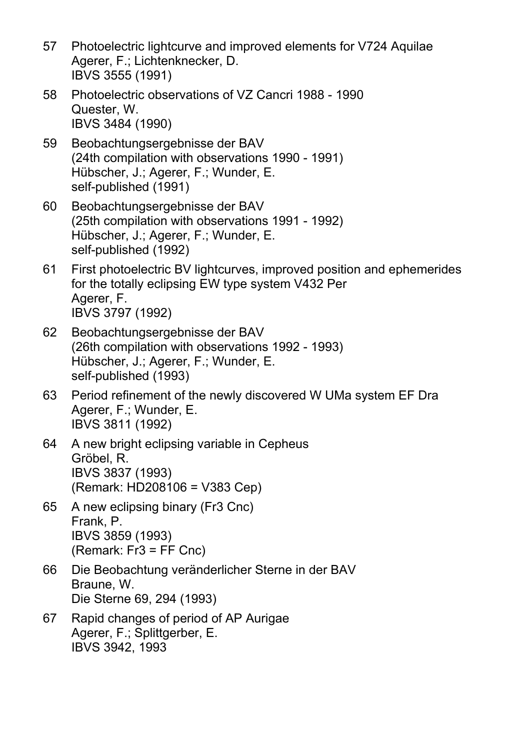- 57 Photoelectric lightcurve and improved elements for V724 Aquilae Agerer, F.; Lichtenknecker, D. IBVS 3555 (1991)
- 58 Photoelectric observations of VZ Cancri 1988 1990 Quester, W. IBVS 3484 (1990)
- 59 Beobachtungsergebnisse der BAV (24th compilation with observations 1990 - 1991) Hübscher, J.; Agerer, F.; Wunder, E. self-published (1991)
- 60 Beobachtungsergebnisse der BAV (25th compilation with observations 1991 - 1992) Hübscher, J.; Agerer, F.; Wunder, E. self-published (1992)
- 61 First photoelectric BV lightcurves, improved position and ephemerides for the totally eclipsing EW type system V432 Per Agerer, F. IBVS 3797 (1992)
- 62 Beobachtungsergebnisse der BAV (26th compilation with observations 1992 - 1993) Hübscher, J.; Agerer, F.; Wunder, E. self-published (1993)
- 63 Period refinement of the newly discovered W UMa system EF Dra Agerer, F.; Wunder, E. IBVS 3811 (1992)
- 64 A new bright eclipsing variable in Cepheus Gröbel, R. IBVS 3837 (1993) (Remark: HD208106 = V383 Cep)
- 65 A new eclipsing binary (Fr3 Cnc) Frank, P. IBVS 3859 (1993) (Remark: Fr3 = FF Cnc)
- 66 Die Beobachtung veränderlicher Sterne in der BAV Braune, W. Die Sterne 69, 294 (1993)
- 67 Rapid changes of period of AP Aurigae Agerer, F.; Splittgerber, E. IBVS 3942, 1993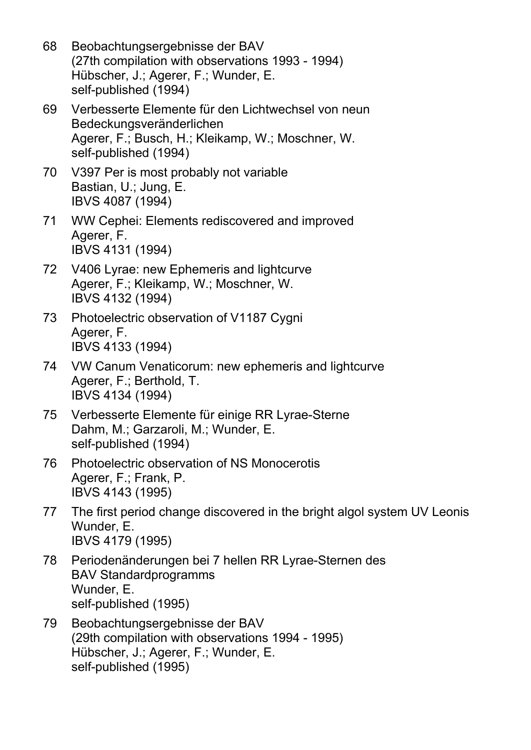- 68 Beobachtungsergebnisse der BAV (27th compilation with observations 1993 - 1994) Hübscher, J.; Agerer, F.; Wunder, E. self-published (1994)
- 69 Verbesserte Elemente für den Lichtwechsel von neun Bedeckungsveränderlichen Agerer, F.; Busch, H.; Kleikamp, W.; Moschner, W. self-published (1994)
- 70 V397 Per is most probably not variable Bastian, U.; Jung, E. IBVS 4087 (1994)
- 71 WW Cephei: Elements rediscovered and improved Agerer, F. IBVS 4131 (1994)
- 72 V406 Lyrae: new Ephemeris and lightcurve Agerer, F.; Kleikamp, W.; Moschner, W. IBVS 4132 (1994)
- 73 Photoelectric observation of V1187 Cygni Agerer, F. IBVS 4133 (1994)
- 74 VW Canum Venaticorum: new ephemeris and lightcurve Agerer, F.; Berthold, T. IBVS 4134 (1994)
- 75 Verbesserte Elemente für einige RR Lyrae-Sterne Dahm, M.; Garzaroli, M.; Wunder, E. self-published (1994)
- 76 Photoelectric observation of NS Monocerotis Agerer, F.; Frank, P. IBVS 4143 (1995)
- 77 The first period change discovered in the bright algol system UV Leonis Wunder, E. IBVS 4179 (1995)
- 78 Periodenänderungen bei 7 hellen RR Lyrae-Sternen des BAV Standardprogramms Wunder, E. self-published (1995)
- 79 Beobachtungsergebnisse der BAV (29th compilation with observations 1994 - 1995) Hübscher, J.; Agerer, F.; Wunder, E. self-published (1995)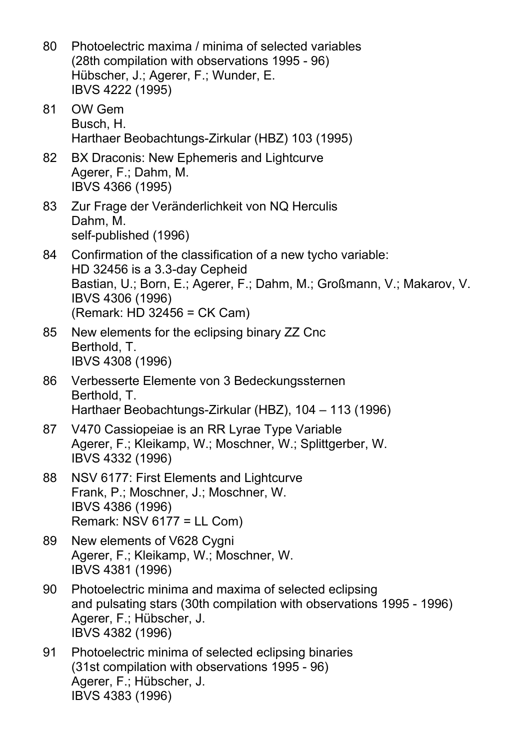80 Photoelectric maxima / minima of selected variables (28th compilation with observations 1995 - 96) Hübscher, J.; Agerer, F.; Wunder, E. IBVS 4222 (1995) 81 OW Gem Busch, H. Harthaer Beobachtungs-Zirkular (HBZ) 103 (1995) 82 BX Draconis: New Ephemeris and Lightcurve Agerer, F.; Dahm, M. IBVS 4366 (1995) 83 Zur Frage der Veränderlichkeit von NQ Herculis Dahm, M. self-published (1996) 84 Confirmation of the classification of a new tycho variable: HD 32456 is a 3.3-day Cepheid Bastian, U.; Born, E.; Agerer, F.; Dahm, M.; Großmann, V.; Makarov, V. IBVS 4306 (1996) (Remark: HD 32456 = CK Cam) 85 New elements for the eclipsing binary ZZ Cnc Berthold, T. IBVS 4308 (1996) 86 Verbesserte Elemente von 3 Bedeckungssternen Berthold, T. Harthaer Beobachtungs-Zirkular (HBZ), 104 – 113 (1996) 87 V470 Cassiopeiae is an RR Lyrae Type Variable Agerer, F.; Kleikamp, W.; Moschner, W.; Splittgerber, W. IBVS 4332 (1996) 88 NSV 6177: First Elements and Lightcurve Frank, P.; Moschner, J.; Moschner, W. IBVS 4386 (1996) Remark: NSV 6177 = LL Com) 89 New elements of V628 Cygni Agerer, F.; Kleikamp, W.; Moschner, W. IBVS 4381 (1996) 90 Photoelectric minima and maxima of selected eclipsing and pulsating stars (30th compilation with observations 1995 - 1996) Agerer, F.; Hübscher, J. IBVS 4382 (1996) 91 Photoelectric minima of selected eclipsing binaries (31st compilation with observations 1995 - 96) Agerer, F.; Hübscher, J.

IBVS 4383 (1996)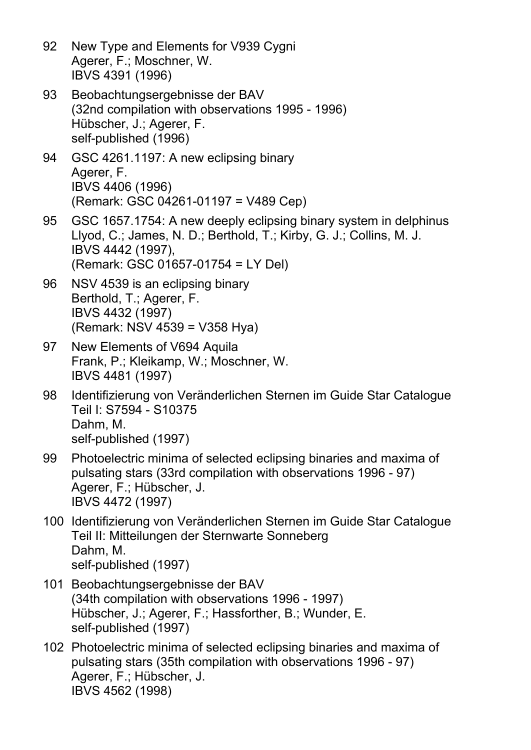- 92 New Type and Elements for V939 Cygni Agerer, F.; Moschner, W. IBVS 4391 (1996)
- 93 Beobachtungsergebnisse der BAV (32nd compilation with observations 1995 - 1996) Hübscher, J.; Agerer, F. self-published (1996)
- 94 GSC 4261.1197: A new eclipsing binary Agerer, F. IBVS 4406 (1996) (Remark: GSC 04261-01197 = V489 Cep)
- 95 GSC 1657.1754: A new deeply eclipsing binary system in delphinus Llyod, C.; James, N. D.; Berthold, T.; Kirby, G. J.; Collins, M. J. IBVS 4442 (1997), (Remark: GSC 01657-01754 = LY Del)
- 96 NSV 4539 is an eclipsing binary Berthold, T.; Agerer, F. IBVS 4432 (1997) (Remark: NSV 4539 = V358 Hya)
- 97 New Elements of V694 Aquila Frank, P.; Kleikamp, W.; Moschner, W. IBVS 4481 (1997)
- 98 Identifizierung von Veränderlichen Sternen im Guide Star Catalogue Teil I: S7594 - S10375 Dahm, M. self-published (1997)
- 99 Photoelectric minima of selected eclipsing binaries and maxima of pulsating stars (33rd compilation with observations 1996 - 97) Agerer, F.; Hübscher, J. IBVS 4472 (1997)
- 100 Identifizierung von Veränderlichen Sternen im Guide Star Catalogue Teil II: Mitteilungen der Sternwarte Sonneberg Dahm, M. self-published (1997)
- 101 Beobachtungsergebnisse der BAV (34th compilation with observations 1996 - 1997) Hübscher, J.; Agerer, F.; Hassforther, B.; Wunder, E. self-published (1997)
- 102 Photoelectric minima of selected eclipsing binaries and maxima of pulsating stars (35th compilation with observations 1996 - 97) Agerer, F.; Hübscher, J. IBVS 4562 (1998)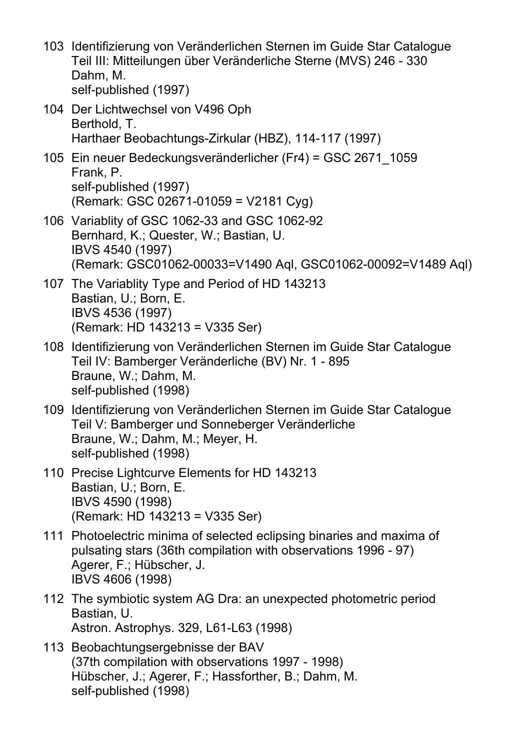| 103 Identifizierung von Veränderlichen Sternen im Guide Star Catalogue |
|------------------------------------------------------------------------|
| Teil III: Mitteilungen über Veränderliche Sterne (MVS) 246 - 330       |
| Dahm, M.                                                               |
| self-published (1997)                                                  |
|                                                                        |

- 104 Der Lichtwechsel von V496 Oph Berthold, T. Harthaer Beobachtungs-Zirkular (HBZ), 114-117 (1997)
- 105 Ein neuer Bedeckungsveränderlicher (Fr4) = GSC 2671\_1059 Frank, P. self-published (1997) (Remark: GSC 02671-01059 = V2181 Cyg)
- 106 Variablity of GSC 1062-33 and GSC 1062-92 Bernhard, K.; Quester, W.; Bastian, U. IBVS 4540 (1997) (Remark: GSC01062-00033=V1490 Aql, GSC01062-00092=V1489 Aql)
- 107 The Variablity Type and Period of HD 143213 Bastian, U.; Born, E. IBVS 4536 (1997) (Remark: HD 143213 = V335 Ser)
- 108 Identifizierung von Veränderlichen Sternen im Guide Star Catalogue Teil IV: Bamberger Veränderliche (BV) Nr. 1 - 895 Braune, W.; Dahm, M. self-published (1998)
- 109 Identifizierung von Veränderlichen Sternen im Guide Star Catalogue Teil V: Bamberger und Sonneberger Veränderliche Braune, W.; Dahm, M.; Meyer, H. self-published (1998)
- 110 Precise Lightcurve Elements for HD 143213 Bastian, U.; Born, E. IBVS 4590 (1998) (Remark: HD 143213 = V335 Ser)
- 111 Photoelectric minima of selected eclipsing binaries and maxima of pulsating stars (36th compilation with observations 1996 - 97) Agerer, F.; Hübscher, J. IBVS 4606 (1998)
- 112 The symbiotic system AG Dra: an unexpected photometric period Bastian, U. Astron. Astrophys. 329, L61-L63 (1998)
- 113 Beobachtungsergebnisse der BAV (37th compilation with observations 1997 - 1998) Hübscher, J.; Agerer, F.; Hassforther, B.; Dahm, M. self-published (1998)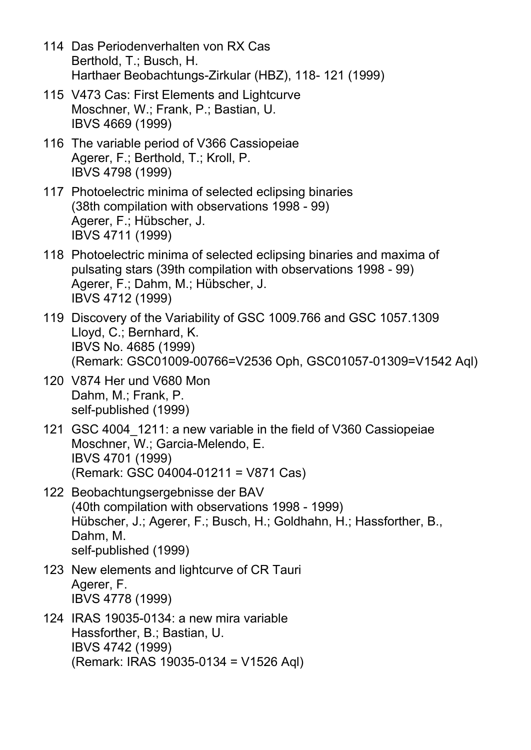- 114 Das Periodenverhalten von RX Cas Berthold, T.; Busch, H. Harthaer Beobachtungs-Zirkular (HBZ), 118- 121 (1999)
- 115 V473 Cas: First Elements and Lightcurve Moschner, W.; Frank, P.; Bastian, U. IBVS 4669 (1999)
- 116 The variable period of V366 Cassiopeiae Agerer, F.; Berthold, T.; Kroll, P. IBVS 4798 (1999)
- 117 Photoelectric minima of selected eclipsing binaries (38th compilation with observations 1998 - 99) Agerer, F.; Hübscher, J. IBVS 4711 (1999)
- 118 Photoelectric minima of selected eclipsing binaries and maxima of pulsating stars (39th compilation with observations 1998 - 99) Agerer, F.; Dahm, M.; Hübscher, J. IBVS 4712 (1999)
- 119 Discovery of the Variability of GSC 1009.766 and GSC 1057.1309 Lloyd, C.; Bernhard, K. IBVS No. 4685 (1999) (Remark: GSC01009-00766=V2536 Oph, GSC01057-01309=V1542 Aql)
- 120 V874 Her und V680 Mon Dahm, M.; Frank, P. self-published (1999)
- 121 GSC 4004\_1211: a new variable in the field of V360 Cassiopeiae Moschner, W.; Garcia-Melendo, E. IBVS 4701 (1999) (Remark: GSC 04004-01211 = V871 Cas)
- 122 Beobachtungsergebnisse der BAV (40th compilation with observations 1998 - 1999) Hübscher, J.; Agerer, F.; Busch, H.; Goldhahn, H.; Hassforther, B., Dahm, M. self-published (1999)
- 123 New elements and lightcurve of CR Tauri Agerer, F. IBVS 4778 (1999)
- 124 IRAS 19035-0134: a new mira variable Hassforther, B.; Bastian, U. IBVS 4742 (1999) (Remark: IRAS 19035-0134 = V1526 Aql)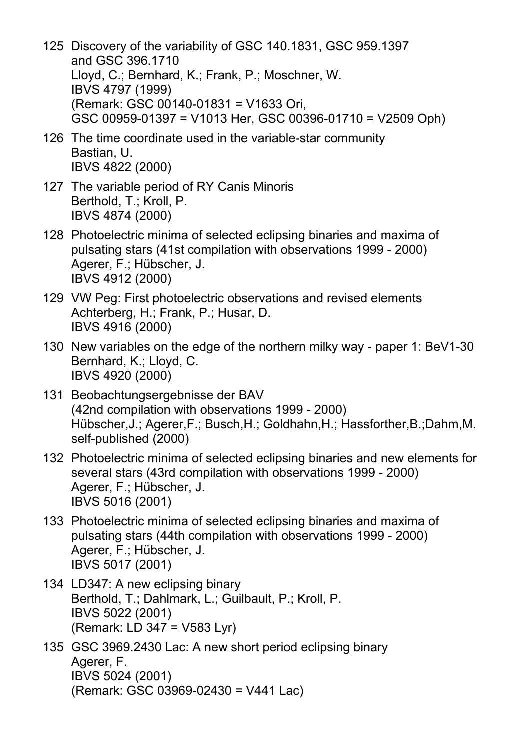- 125 Discovery of the variability of GSC 140.1831, GSC 959.1397 and GSC 396.1710 Lloyd, C.; Bernhard, K.; Frank, P.; Moschner, W. IBVS 4797 (1999) (Remark: GSC 00140-01831 = V1633 Ori, GSC 00959-01397 = V1013 Her, GSC 00396-01710 = V2509 Oph)
- 126 The time coordinate used in the variable-star community Bastian, U. IBVS 4822 (2000)
- 127 The variable period of RY Canis Minoris Berthold, T.; Kroll, P. IBVS 4874 (2000)
- 128 Photoelectric minima of selected eclipsing binaries and maxima of pulsating stars (41st compilation with observations 1999 - 2000) Agerer, F.; Hübscher, J. IBVS 4912 (2000)
- 129 VW Peg: First photoelectric observations and revised elements Achterberg, H.; Frank, P.; Husar, D. IBVS 4916 (2000)
- 130 New variables on the edge of the northern milky way paper 1: BeV1-30 Bernhard, K.; Lloyd, C. IBVS 4920 (2000)
- 131 Beobachtungsergebnisse der BAV (42nd compilation with observations 1999 - 2000) Hübscher,J.; Agerer,F.; Busch,H.; Goldhahn,H.; Hassforther,B.;Dahm,M. self-published (2000)
- 132 Photoelectric minima of selected eclipsing binaries and new elements for several stars (43rd compilation with observations 1999 - 2000) Agerer, F.; Hübscher, J. IBVS 5016 (2001)
- 133 Photoelectric minima of selected eclipsing binaries and maxima of pulsating stars (44th compilation with observations 1999 - 2000) Agerer, F.; Hübscher, J. IBVS 5017 (2001)
- 134 LD347: A new eclipsing binary Berthold, T.; Dahlmark, L.; Guilbault, P.; Kroll, P. IBVS 5022 (2001) (Remark: LD 347 = V583 Lyr)
- 135 GSC 3969.2430 Lac: A new short period eclipsing binary Agerer, F. IBVS 5024 (2001) (Remark: GSC 03969-02430 = V441 Lac)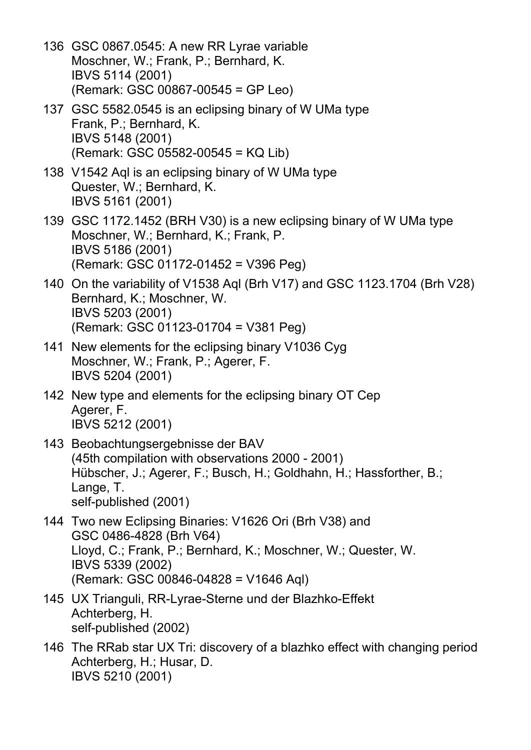- 136 GSC 0867.0545: A new RR Lyrae variable Moschner, W.; Frank, P.; Bernhard, K. IBVS 5114 (2001) (Remark: GSC 00867-00545 = GP Leo)
- 137 GSC 5582.0545 is an eclipsing binary of W UMa type Frank, P.; Bernhard, K. IBVS 5148 (2001) (Remark: GSC 05582-00545 = KQ Lib)
- 138 V1542 Aql is an eclipsing binary of W UMa type Quester, W.; Bernhard, K. IBVS 5161 (2001)
- 139 GSC 1172.1452 (BRH V30) is a new eclipsing binary of W UMa type Moschner, W.; Bernhard, K.; Frank, P. IBVS 5186 (2001) (Remark: GSC 01172-01452 = V396 Peg)
- 140 On the variability of V1538 Aql (Brh V17) and GSC 1123.1704 (Brh V28) Bernhard, K.; Moschner, W. IBVS 5203 (2001) (Remark: GSC 01123-01704 = V381 Peg)
- 141 New elements for the eclipsing binary V1036 Cyg Moschner, W.; Frank, P.; Agerer, F. IBVS 5204 (2001)
- 142 New type and elements for the eclipsing binary OT Cep Agerer, F. IBVS 5212 (2001)
- 143 Beobachtungsergebnisse der BAV (45th compilation with observations 2000 - 2001) Hübscher, J.; Agerer, F.; Busch, H.; Goldhahn, H.; Hassforther, B.; Lange, T. self-published (2001)
- 144 Two new Eclipsing Binaries: V1626 Ori (Brh V38) and GSC 0486-4828 (Brh V64) Lloyd, C.; Frank, P.; Bernhard, K.; Moschner, W.; Quester, W. IBVS 5339 (2002) (Remark: GSC 00846-04828 = V1646 Aql)
- 145 UX Trianguli, RR-Lyrae-Sterne und der Blazhko-Effekt Achterberg, H. self-published (2002)
- 146 The RRab star UX Tri: discovery of a blazhko effect with changing period Achterberg, H.; Husar, D. IBVS 5210 (2001)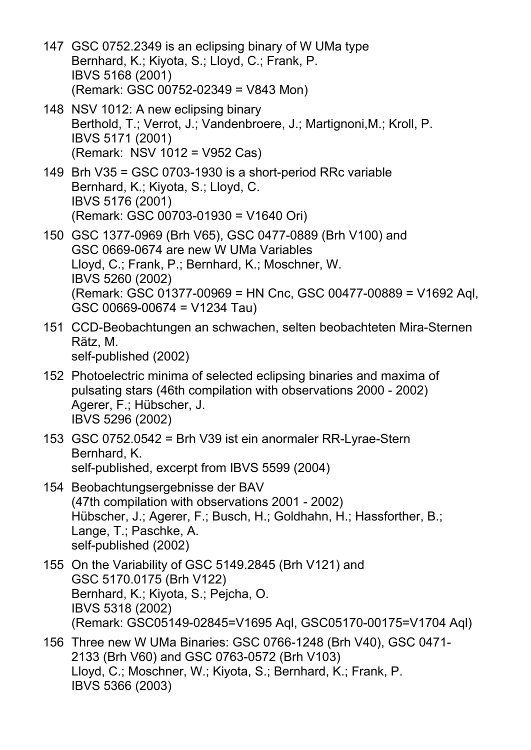- 147 GSC 0752.2349 is an eclipsing binary of W UMa type Bernhard, K.; Kiyota, S.; Lloyd, C.; Frank, P. IBVS 5168 (2001) (Remark: GSC 00752-02349 = V843 Mon)
- 148 NSV 1012: A new eclipsing binary Berthold, T.; Verrot, J.; Vandenbroere, J.; Martignoni,M.; Kroll, P. IBVS 5171 (2001) (Remark: NSV 1012 = V952 Cas)
- 149 Brh V35 = GSC 0703-1930 is a short-period RRc variable Bernhard, K.; Kiyota, S.; Lloyd, C. IBVS 5176 (2001) (Remark: GSC 00703-01930 = V1640 Ori)
- 150 GSC 1377-0969 (Brh V65), GSC 0477-0889 (Brh V100) and GSC 0669-0674 are new W UMa Variables Lloyd, C.; Frank, P.; Bernhard, K.; Moschner, W. IBVS 5260 (2002) (Remark: GSC 01377-00969 = HN Cnc, GSC 00477-00889 = V1692 Aql,  $GSC 00669-00674 = V1234 Tau$
- 151 CCD-Beobachtungen an schwachen, selten beobachteten Mira-Sternen Rätz, M. self-published (2002)
- 152 Photoelectric minima of selected eclipsing binaries and maxima of pulsating stars (46th compilation with observations 2000 - 2002) Agerer, F.; Hübscher, J. IBVS 5296 (2002)
- 153 GSC 0752.0542 = Brh V39 ist ein anormaler RR-Lyrae-Stern Bernhard, K. self-published, excerpt from IBVS 5599 (2004)
- 154 Beobachtungsergebnisse der BAV (47th compilation with observations 2001 - 2002) Hübscher, J.; Agerer, F.; Busch, H.; Goldhahn, H.; Hassforther, B.; Lange, T.; Paschke, A. self-published (2002)
- 155 On the Variability of GSC 5149.2845 (Brh V121) and GSC 5170.0175 (Brh V122) Bernhard, K.; Kiyota, S.; Pejcha, O. IBVS 5318 (2002) (Remark: GSC05149-02845=V1695 Aql, GSC05170-00175=V1704 Aql)
- 156 Three new W UMa Binaries: GSC 0766-1248 (Brh V40), GSC 0471- 2133 (Brh V60) and GSC 0763-0572 (Brh V103) Lloyd, C.; Moschner, W.; Kiyota, S.; Bernhard, K.; Frank, P. IBVS 5366 (2003)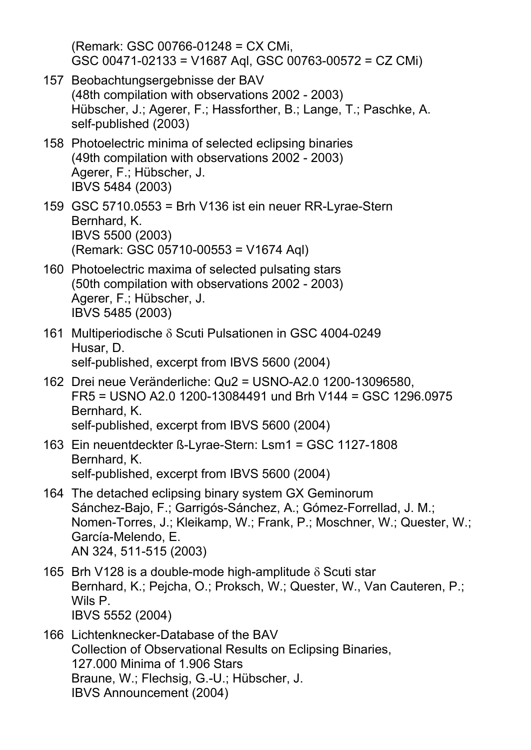(Remark: GSC 00766-01248 = CX CMi, GSC 00471-02133 = V1687 Aql, GSC 00763-00572 = CZ CMi)

- 157 Beobachtungsergebnisse der BAV (48th compilation with observations 2002 - 2003) Hübscher, J.; Agerer, F.; Hassforther, B.; Lange, T.; Paschke, A. self-published (2003)
- 158 Photoelectric minima of selected eclipsing binaries (49th compilation with observations 2002 - 2003) Agerer, F.; Hübscher, J. IBVS 5484 (2003)
- 159 GSC 5710.0553 = Brh V136 ist ein neuer RR-Lyrae-Stern Bernhard, K. IBVS 5500 (2003) (Remark: GSC 05710-00553 = V1674 Aql)
- 160 Photoelectric maxima of selected pulsating stars (50th compilation with observations 2002 - 2003) Agerer, F.; Hübscher, J. IBVS 5485 (2003)
- 161 Multiperiodische δ Scuti Pulsationen in GSC 4004-0249 Husar, D. self-published, excerpt from IBVS 5600 (2004)
- 162 Drei neue Veränderliche: Qu2 = USNO-A2.0 1200-13096580, FR5 = USNO A2.0 1200-13084491 und Brh V144 = GSC 1296.0975 Bernhard, K. self-published, excerpt from IBVS 5600 (2004)
- 163 Ein neuentdeckter ß-Lyrae-Stern: Lsm1 = GSC 1127-1808 Bernhard, K. self-published, excerpt from IBVS 5600 (2004)
- 164 The detached eclipsing binary system GX Geminorum Sánchez-Bajo, F.; Garrigós-Sánchez, A.; Gómez-Forrellad, J. M.; Nomen-Torres, J.; Kleikamp, W.; Frank, P.; Moschner, W.; Quester, W.; García-Melendo, E. AN 324, 511-515 (2003)
- 165 Brh V128 is a double-mode high-amplitude  $\delta$  Scuti star Bernhard, K.; Pejcha, O.; Proksch, W.; Quester, W., Van Cauteren, P.; Wils P. IBVS 5552 (2004)
- 166 Lichtenknecker-Database of the BAV Collection of Observational Results on Eclipsing Binaries, 127.000 Minima of 1.906 Stars Braune, W.; Flechsig, G.-U.; Hübscher, J. IBVS Announcement (2004)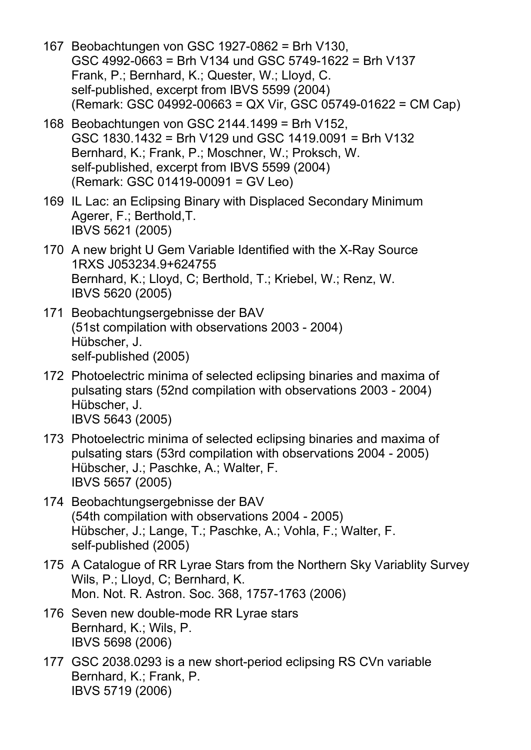- 167 Beobachtungen von GSC 1927-0862 = Brh V130, GSC 4992-0663 = Brh V134 und GSC 5749-1622 = Brh V137 Frank, P.; Bernhard, K.; Quester, W.; Lloyd, C. self-published, excerpt from IBVS 5599 (2004) (Remark: GSC 04992-00663 = QX Vir, GSC 05749-01622 = CM Cap)
- 168 Beobachtungen von GSC 2144.1499 = Brh V152, GSC 1830.1432 = Brh V129 und GSC 1419.0091 = Brh V132 Bernhard, K.; Frank, P.; Moschner, W.; Proksch, W. self-published, excerpt from IBVS 5599 (2004) (Remark: GSC 01419-00091 = GV Leo)
- 169 IL Lac: an Eclipsing Binary with Displaced Secondary Minimum Agerer, F.; Berthold,T. IBVS 5621 (2005)
- 170 A new bright U Gem Variable Identified with the X-Ray Source 1RXS J053234.9+624755 Bernhard, K.; Lloyd, C; Berthold, T.; Kriebel, W.; Renz, W. IBVS 5620 (2005)
- 171 Beobachtungsergebnisse der BAV (51st compilation with observations 2003 - 2004) Hübscher, J. self-published (2005)
- 172 Photoelectric minima of selected eclipsing binaries and maxima of pulsating stars (52nd compilation with observations 2003 - 2004) Hübscher, J. IBVS 5643 (2005)
- 173 Photoelectric minima of selected eclipsing binaries and maxima of pulsating stars (53rd compilation with observations 2004 - 2005) Hübscher, J.; Paschke, A.; Walter, F. IBVS 5657 (2005)
- 174 Beobachtungsergebnisse der BAV (54th compilation with observations 2004 - 2005) Hübscher, J.; Lange, T.; Paschke, A.; Vohla, F.; Walter, F. self-published (2005)
- 175 A Catalogue of RR Lyrae Stars from the Northern Sky Variablity Survey Wils, P.; Lloyd, C; Bernhard, K. Mon. Not. R. Astron. Soc. 368, 1757-1763 (2006)
- 176 Seven new double-mode RR Lyrae stars Bernhard, K.; Wils, P. IBVS 5698 (2006)
- 177 GSC 2038.0293 is a new short-period eclipsing RS CVn variable Bernhard, K.; Frank, P. IBVS 5719 (2006)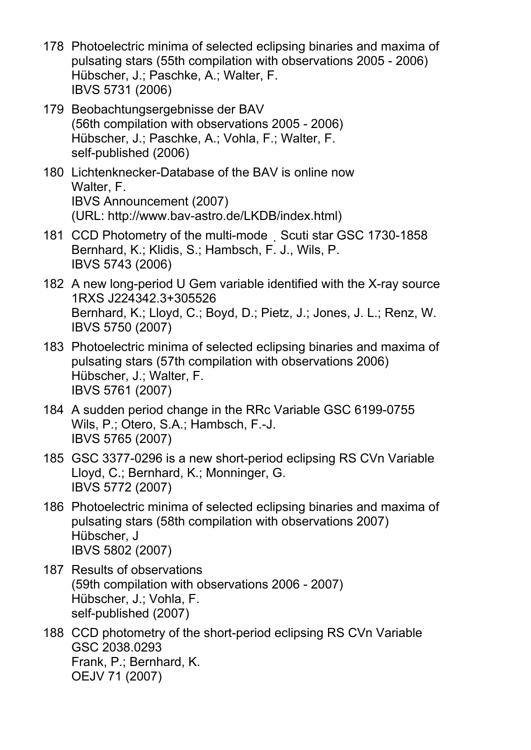- 178 Photoelectric minima of selected eclipsing binaries and maxima of pulsating stars (55th compilation with observations 2005 - 2006) Hübscher, J.; Paschke, A.; Walter, F. IBVS 5731 (2006)
- 179 Beobachtungsergebnisse der BAV (56th compilation with observations 2005 - 2006) Hübscher, J.; Paschke, A.; Vohla, F.; Walter, F. self-published (2006)
- 180 Lichtenknecker-Database of the BAV is online now Walter, F. IBVS Announcement (2007) (URL: http://www.bav-astro.de/LKDB/index.html)
- 181 CCD Photometry of the multi-mode Scuti star GSC 1730-1858 Bernhard, K.; Klidis, S.; Hambsch, F. J., Wils, P. IBVS 5743 (2006)
- 182 A new long-period U Gem variable identified with the X-ray source 1RXS J224342.3+305526 Bernhard, K.; Lloyd, C.; Boyd, D.; Pietz, J.; Jones, J. L.; Renz, W. IBVS 5750 (2007)
- 183 Photoelectric minima of selected eclipsing binaries and maxima of pulsating stars (57th compilation with observations 2006) Hübscher, J.; Walter, F. IBVS 5761 (2007)
- 184 A sudden period change in the RRc Variable GSC 6199-0755 Wils, P.; Otero, S.A.; Hambsch, F.-J. IBVS 5765 (2007)
- 185 GSC 3377-0296 is a new short-period eclipsing RS CVn Variable Lloyd, C.; Bernhard, K.; Monninger, G. IBVS 5772 (2007)
- 186 Photoelectric minima of selected eclipsing binaries and maxima of pulsating stars (58th compilation with observations 2007) Hübscher, J IBVS 5802 (2007)
- 187 Results of observations (59th compilation with observations 2006 - 2007) Hübscher, J.; Vohla, F. self-published (2007)
- 188 CCD photometry of the short-period eclipsing RS CVn Variable GSC 2038.0293 Frank, P.; Bernhard, K. OEJV 71 (2007)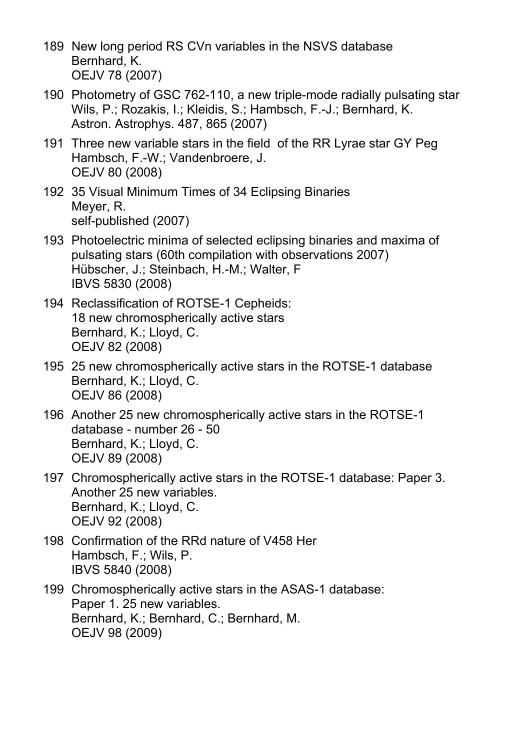- 189 New long period RS CVn variables in the NSVS database Bernhard, K. OEJV 78 (2007)
- 190 Photometry of GSC 762-110, a new triple-mode radially pulsating star Wils, P.; Rozakis, I.; Kleidis, S.; Hambsch, F.-J.; Bernhard, K. Astron. Astrophys. 487, 865 (2007)
- 191 Three new variable stars in the field of the RR Lyrae star GY Peg Hambsch, F.-W.; Vandenbroere, J. OEJV 80 (2008)
- 192 35 Visual Minimum Times of 34 Eclipsing Binaries Meyer, R. self-published (2007)
- 193 Photoelectric minima of selected eclipsing binaries and maxima of pulsating stars (60th compilation with observations 2007) Hübscher, J.; Steinbach, H.-M.; Walter, F IBVS 5830 (2008)
- 194 Reclassification of ROTSE-1 Cepheids: 18 new chromospherically active stars Bernhard, K.; Lloyd, C. OEJV 82 (2008)
- 195 25 new chromospherically active stars in the ROTSE-1 database Bernhard, K.; Lloyd, C. OEJV 86 (2008)
- 196 Another 25 new chromospherically active stars in the ROTSE-1 database - number 26 - 50 Bernhard, K.; Lloyd, C. OEJV 89 (2008)
- 197 Chromospherically active stars in the ROTSE-1 database: Paper 3. Another 25 new variables. Bernhard, K.; Lloyd, C. OEJV 92 (2008)
- 198 Confirmation of the RRd nature of V458 Her Hambsch, F.; Wils, P. IBVS 5840 (2008)
- 199 Chromospherically active stars in the ASAS-1 database: Paper 1. 25 new variables. Bernhard, K.; Bernhard, C.; Bernhard, M. OEJV 98 (2009)